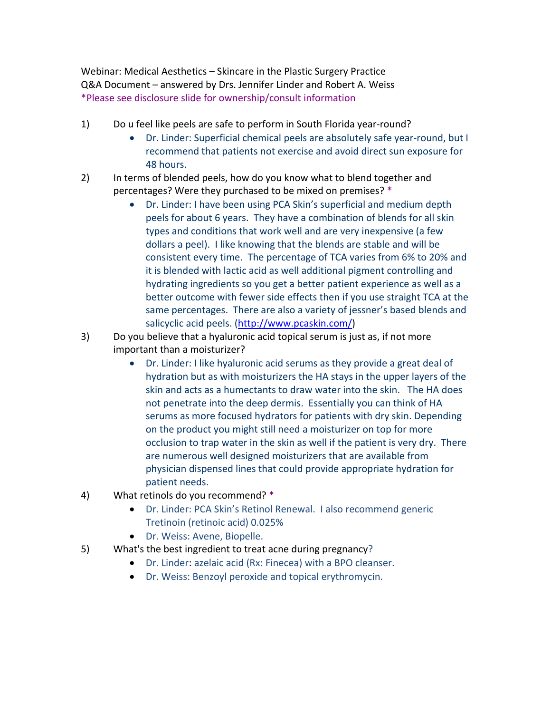Webinar: Medical Aesthetics – Skincare in the Plastic Surgery Practice Q&A Document – answered by Drs. Jennifer Linder and Robert A. Weiss \*Please see disclosure slide for ownership/consult information

- 1) Do u feel like peels are safe to perform in South Florida year-round?
	- Dr. Linder: Superficial chemical peels are absolutely safe year-round, but I recommend that patients not exercise and avoid direct sun exposure for 48 hours.
- 2) In terms of blended peels, how do you know what to blend together and percentages? Were they purchased to be mixed on premises? \*
	- Dr. Linder: I have been using PCA Skin's superficial and medium depth peels for about 6 years. They have a combination of blends for all skin types and conditions that work well and are very inexpensive (a few dollars a peel). I like knowing that the blends are stable and will be consistent every time. The percentage of TCA varies from 6% to 20% and it is blended with lactic acid as well additional pigment controlling and hydrating ingredients so you get a better patient experience as well as a better outcome with fewer side effects then if you use straight TCA at the same percentages. There are also a variety of jessner's based blends and salicyclic acid peels. (http://www.pcaskin.com/)
- 3) Do you believe that a hyaluronic acid topical serum is just as, if not more important than a moisturizer?
	- Dr. Linder: I like hyaluronic acid serums as they provide a great deal of hydration but as with moisturizers the HA stays in the upper layers of the skin and acts as a humectants to draw water into the skin. The HA does not penetrate into the deep dermis. Essentially you can think of HA serums as more focused hydrators for patients with dry skin. Depending on the product you might still need a moisturizer on top for more occlusion to trap water in the skin as well if the patient is very dry. There are numerous well designed moisturizers that are available from physician dispensed lines that could provide appropriate hydration for patient needs.
- 4) What retinols do you recommend? \*
	- Dr. Linder: PCA Skin's Retinol Renewal. I also recommend generic Tretinoin (retinoic acid) 0.025%
	- Dr. Weiss: Avene, Biopelle.
- 5) What's the best ingredient to treat acne during pregnancy?
	- Dr. Linder: azelaic acid (Rx: Finecea) with a BPO cleanser.
	- Dr. Weiss: Benzoyl peroxide and topical erythromycin.